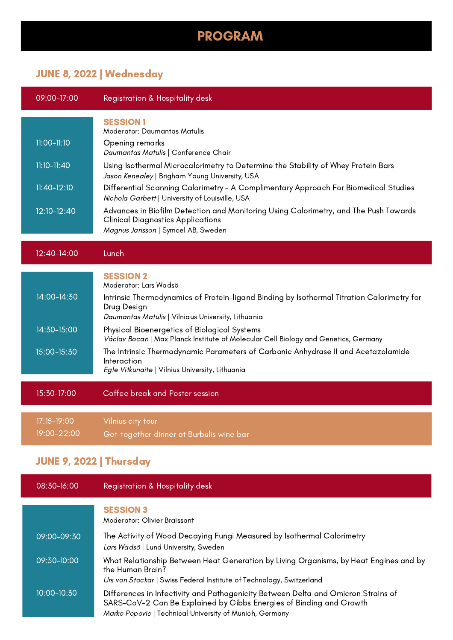## PROGRAM

## JUNE 8, 2022 | Wednesday

| 09:00-17:00     | Registration & Hospitality desk                                                                                                                                        |
|-----------------|------------------------------------------------------------------------------------------------------------------------------------------------------------------------|
|                 | <b>SESSION1</b><br><b>Moderator: Daumantas Matulis</b>                                                                                                                 |
| 11:00-11:10     | Opening remarks<br>Daumantas Matulis   Conference Chair                                                                                                                |
| $11:10 - 11:40$ | Using Isothermal Microcalorimetry to Determine the Stability of Whey Protein Bars<br>Jason Kenealey   Brigham Young University, USA                                    |
| $11:40-12:10$   | Differential Scanning Calorimetry - A Complimentary Approach For Biomedical Studies<br>Nichola Garbett   University of Louisville, USA                                 |
| 12:10-12:40     | Advances in Biofilm Detection and Monitoring Using Calorimetry, and The Push Towards<br><b>Clinical Diagnostics Applications</b><br>Magnus Jansson   Symcel AB, Sweden |
| 12:40-14:00     | Lunch                                                                                                                                                                  |
|                 | <b>SESSION 2</b><br>Moderator: Lars Wadsö                                                                                                                              |
| 14:00-14:30     | Intrinsic Thermodynamics of Protein-ligand Binding by Isothermal Titration Calorimetry for<br>Drug Design<br>Daumantas Matulis   Vilniaus University, Lithuania        |
| 14:30-15:00     | Physical Bioenergetics of Biological Systems<br>Václav Bocan   Max Planck Institute of Molecular Cell Biology and Genetics, Germany                                    |
| 15:00-15:30     | The Intrinsic Thermodynamic Parameters of Carbonic Anhydrase II and Acetazolamide<br>Interaction<br>Egle Vitkunaite   Vilnius University, Lithuania                    |
| 15:30-17:00     | Coffee break and Poster session                                                                                                                                        |
| 17:15-19:00     | Vilnius city tour                                                                                                                                                      |
| 19:00-22:00     | Get-together dinner at Burbulis wine bar                                                                                                                               |
| -------         |                                                                                                                                                                        |

## JUNE 9, 2022 | Thursday

08:30-16:00 Registration & Hospitality desk

SESSION 3 09:00-09:30 The Activity of Wood Decaying Fungi Measured by Isothermal Calorimetry Lars Wadsö | Lund University, Sweden 09:30-10:00 What Relationship Between Heat Generation by Living Organisms, by Heat Engines and by the Human Brain? Urs von Stockar | Swiss Federal Institute of Technology, Switzerland 10:00-10:30 Differences in Infectivity and Pathogenicity Between Delta and Omicron Strains of SARS-CoV-2 Can Be Explained by Gibbs Energies of Binding and Growth Marko Popovic | Technical University of Munich, Germany Moderator: Olivier Braissant